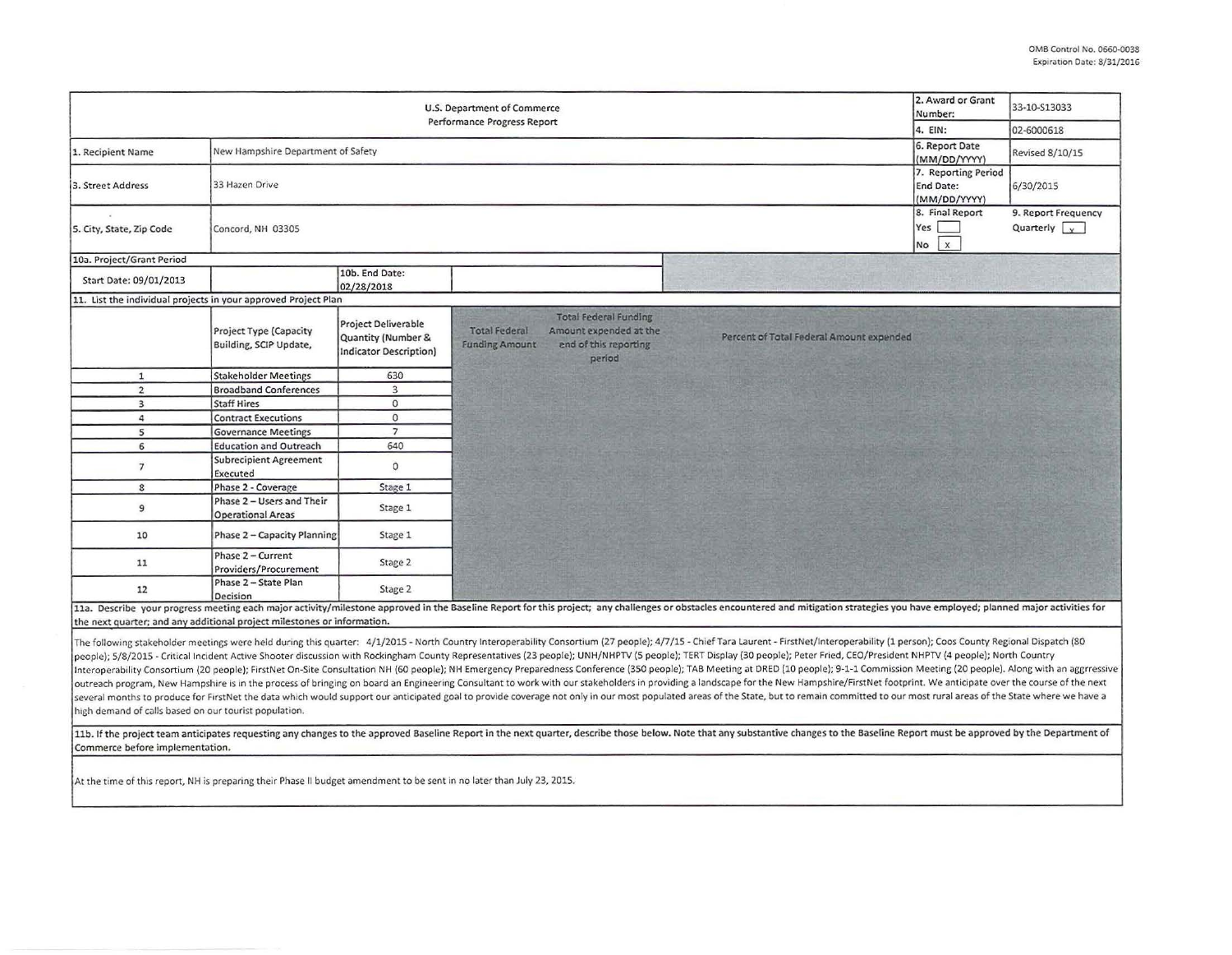| U.S. Department of Commerce<br>Performance Progress Report              |                                                         |                                                                                   |                                                                                                                                            |                                                                                                                                                                                                                                                                                                                                                                                                                                                                                                                                                                                                                                                                                                                                                                                                                                                                                                                                                                                                                                                                                                                                                                        | 2. Award or Grant<br>Number:                            | 33-10-S13033                                |
|-------------------------------------------------------------------------|---------------------------------------------------------|-----------------------------------------------------------------------------------|--------------------------------------------------------------------------------------------------------------------------------------------|------------------------------------------------------------------------------------------------------------------------------------------------------------------------------------------------------------------------------------------------------------------------------------------------------------------------------------------------------------------------------------------------------------------------------------------------------------------------------------------------------------------------------------------------------------------------------------------------------------------------------------------------------------------------------------------------------------------------------------------------------------------------------------------------------------------------------------------------------------------------------------------------------------------------------------------------------------------------------------------------------------------------------------------------------------------------------------------------------------------------------------------------------------------------|---------------------------------------------------------|---------------------------------------------|
|                                                                         |                                                         |                                                                                   |                                                                                                                                            |                                                                                                                                                                                                                                                                                                                                                                                                                                                                                                                                                                                                                                                                                                                                                                                                                                                                                                                                                                                                                                                                                                                                                                        | 4. EIN:                                                 | 02-6000618                                  |
| 1. Recipient Name                                                       | New Hampshire Department of Safety                      |                                                                                   |                                                                                                                                            |                                                                                                                                                                                                                                                                                                                                                                                                                                                                                                                                                                                                                                                                                                                                                                                                                                                                                                                                                                                                                                                                                                                                                                        | 6. Report Date<br>(MM/DD/YYYY)                          | Revised 8/10/15                             |
| 3. Street Address                                                       | 33 Hazen Drive                                          |                                                                                   |                                                                                                                                            |                                                                                                                                                                                                                                                                                                                                                                                                                                                                                                                                                                                                                                                                                                                                                                                                                                                                                                                                                                                                                                                                                                                                                                        | 7. Reporting Period<br><b>End Date:</b><br>(MM/DD/YYYY) | 6/30/2015                                   |
| 5. City, State, Zip Code                                                | Concord, NH 03305                                       |                                                                                   |                                                                                                                                            |                                                                                                                                                                                                                                                                                                                                                                                                                                                                                                                                                                                                                                                                                                                                                                                                                                                                                                                                                                                                                                                                                                                                                                        | 8. Final Report<br>Yes<br>$\times$<br>No                | 9. Report Frequency<br>Quarterly $\sqrt{y}$ |
| 10a. Project/Grant Period                                               |                                                         |                                                                                   |                                                                                                                                            |                                                                                                                                                                                                                                                                                                                                                                                                                                                                                                                                                                                                                                                                                                                                                                                                                                                                                                                                                                                                                                                                                                                                                                        |                                                         |                                             |
| Start Date: 09/01/2013                                                  |                                                         | 10b. End Date:<br>02/28/2018                                                      |                                                                                                                                            |                                                                                                                                                                                                                                                                                                                                                                                                                                                                                                                                                                                                                                                                                                                                                                                                                                                                                                                                                                                                                                                                                                                                                                        |                                                         |                                             |
| 11. List the individual projects in your approved Project Plan          |                                                         |                                                                                   |                                                                                                                                            |                                                                                                                                                                                                                                                                                                                                                                                                                                                                                                                                                                                                                                                                                                                                                                                                                                                                                                                                                                                                                                                                                                                                                                        |                                                         |                                             |
|                                                                         | <b>Project Type (Capacity</b><br>Building, SCIP Update, | <b>Project Deliverable</b><br>Quantity (Number &<br><b>Indicator Description)</b> | <b>Total Federal Funding</b><br><b>Total Federal</b><br>Amount expended at the<br>end of this reporting<br><b>Funding Amount</b><br>period | Percent of Total Federal Amount expended                                                                                                                                                                                                                                                                                                                                                                                                                                                                                                                                                                                                                                                                                                                                                                                                                                                                                                                                                                                                                                                                                                                               |                                                         |                                             |
| $\mathbf{1}$                                                            | <b>Stakeholder Meetings</b>                             | 630                                                                               |                                                                                                                                            |                                                                                                                                                                                                                                                                                                                                                                                                                                                                                                                                                                                                                                                                                                                                                                                                                                                                                                                                                                                                                                                                                                                                                                        |                                                         |                                             |
| $\overline{2}$                                                          | <b>Broadband Conferences</b>                            | $\overline{3}$                                                                    |                                                                                                                                            |                                                                                                                                                                                                                                                                                                                                                                                                                                                                                                                                                                                                                                                                                                                                                                                                                                                                                                                                                                                                                                                                                                                                                                        |                                                         |                                             |
| 3                                                                       | <b>Staff Hires</b>                                      | $\circ$                                                                           |                                                                                                                                            |                                                                                                                                                                                                                                                                                                                                                                                                                                                                                                                                                                                                                                                                                                                                                                                                                                                                                                                                                                                                                                                                                                                                                                        |                                                         |                                             |
| 4                                                                       | <b>Contract Executions</b>                              | $\circ$                                                                           |                                                                                                                                            |                                                                                                                                                                                                                                                                                                                                                                                                                                                                                                                                                                                                                                                                                                                                                                                                                                                                                                                                                                                                                                                                                                                                                                        |                                                         |                                             |
| 5                                                                       | <b>Governance Meetings</b>                              | $\overline{7}$                                                                    |                                                                                                                                            |                                                                                                                                                                                                                                                                                                                                                                                                                                                                                                                                                                                                                                                                                                                                                                                                                                                                                                                                                                                                                                                                                                                                                                        |                                                         |                                             |
| 6                                                                       | <b>Education and Outreach</b>                           | 640                                                                               |                                                                                                                                            |                                                                                                                                                                                                                                                                                                                                                                                                                                                                                                                                                                                                                                                                                                                                                                                                                                                                                                                                                                                                                                                                                                                                                                        |                                                         |                                             |
| $\overline{7}$                                                          | <b>Subrecipient Agreement</b><br>Executed               | $\circ$                                                                           |                                                                                                                                            |                                                                                                                                                                                                                                                                                                                                                                                                                                                                                                                                                                                                                                                                                                                                                                                                                                                                                                                                                                                                                                                                                                                                                                        |                                                         |                                             |
| 8                                                                       | Phase 2 - Coverage                                      | Stage 1                                                                           |                                                                                                                                            |                                                                                                                                                                                                                                                                                                                                                                                                                                                                                                                                                                                                                                                                                                                                                                                                                                                                                                                                                                                                                                                                                                                                                                        |                                                         |                                             |
| $\overline{9}$                                                          | Phase 2 - Users and Their<br><b>Operational Areas</b>   | Stage 1                                                                           |                                                                                                                                            |                                                                                                                                                                                                                                                                                                                                                                                                                                                                                                                                                                                                                                                                                                                                                                                                                                                                                                                                                                                                                                                                                                                                                                        |                                                         |                                             |
| 10                                                                      | Phase 2 - Capacity Planning                             | Stage 1                                                                           |                                                                                                                                            |                                                                                                                                                                                                                                                                                                                                                                                                                                                                                                                                                                                                                                                                                                                                                                                                                                                                                                                                                                                                                                                                                                                                                                        |                                                         |                                             |
| 11                                                                      | Phase 2 - Current<br>Providers/Procurement              | Stage 2                                                                           |                                                                                                                                            |                                                                                                                                                                                                                                                                                                                                                                                                                                                                                                                                                                                                                                                                                                                                                                                                                                                                                                                                                                                                                                                                                                                                                                        |                                                         |                                             |
| 12                                                                      | Phase 2 - State Plan<br>Decision                        | Stage 2                                                                           |                                                                                                                                            |                                                                                                                                                                                                                                                                                                                                                                                                                                                                                                                                                                                                                                                                                                                                                                                                                                                                                                                                                                                                                                                                                                                                                                        |                                                         |                                             |
| the next quarter; and any additional project milestones or information. |                                                         |                                                                                   |                                                                                                                                            | 11a. Describe your progress meeting each major activity/milestone approved in the Baseline Report for this project; any challenges or obstacles encountered and mitigation strategies you have employed; planned major activit                                                                                                                                                                                                                                                                                                                                                                                                                                                                                                                                                                                                                                                                                                                                                                                                                                                                                                                                         |                                                         |                                             |
| high demand of calls based on our tourist population.                   |                                                         |                                                                                   |                                                                                                                                            | The following stakeholder meetings were held during this quarter: 4/1/2015 - North Country Interoperability Consortium (27 people); 4/7/15 - Chief Tara Laurent - FirstNet/Interoperability (1 person); Coos County Regional D<br>people); 5/8/2015 - Critical Incident Active Shooter discussion with Rockingham County Representatives (23 people); UNH/NHPTV (5 people); TERT Display (30 people); Peter Fried, CEO/President NHPTV (4 people); North Country<br>Interoperability Consortium (20 people); FirstNet On-Site Consultation NH (60 people); NH Emergency Preparedness Conference (350 people); TAB Meeting at DRED (10 people); 9-1-1 Commission Meeting (20 people). Along with an<br>outreach program, New Hampshire is in the process of bringing on board an Engineering Consultant to work with our stakeholders in providing a landscape for the New Hampshire/FirstNet footprint. We anticipate over the cours<br>several months to produce for FirstNet the data which would support our anticipated goal to provide coverage not only in our most populated areas of the State, but to remain committed to our most rural areas of the State w |                                                         |                                             |
| Commerce before implementation.                                         |                                                         |                                                                                   |                                                                                                                                            | 11b. If the project team anticipates requesting any changes to the approved Baseline Report in the next quarter, describe those below. Note that any substantive changes to the Baseline Report must be approved by the Depart                                                                                                                                                                                                                                                                                                                                                                                                                                                                                                                                                                                                                                                                                                                                                                                                                                                                                                                                         |                                                         |                                             |

At the time of this report, NH is preparing their Phase II budget amendment to be sent in no later than July 23, 2015.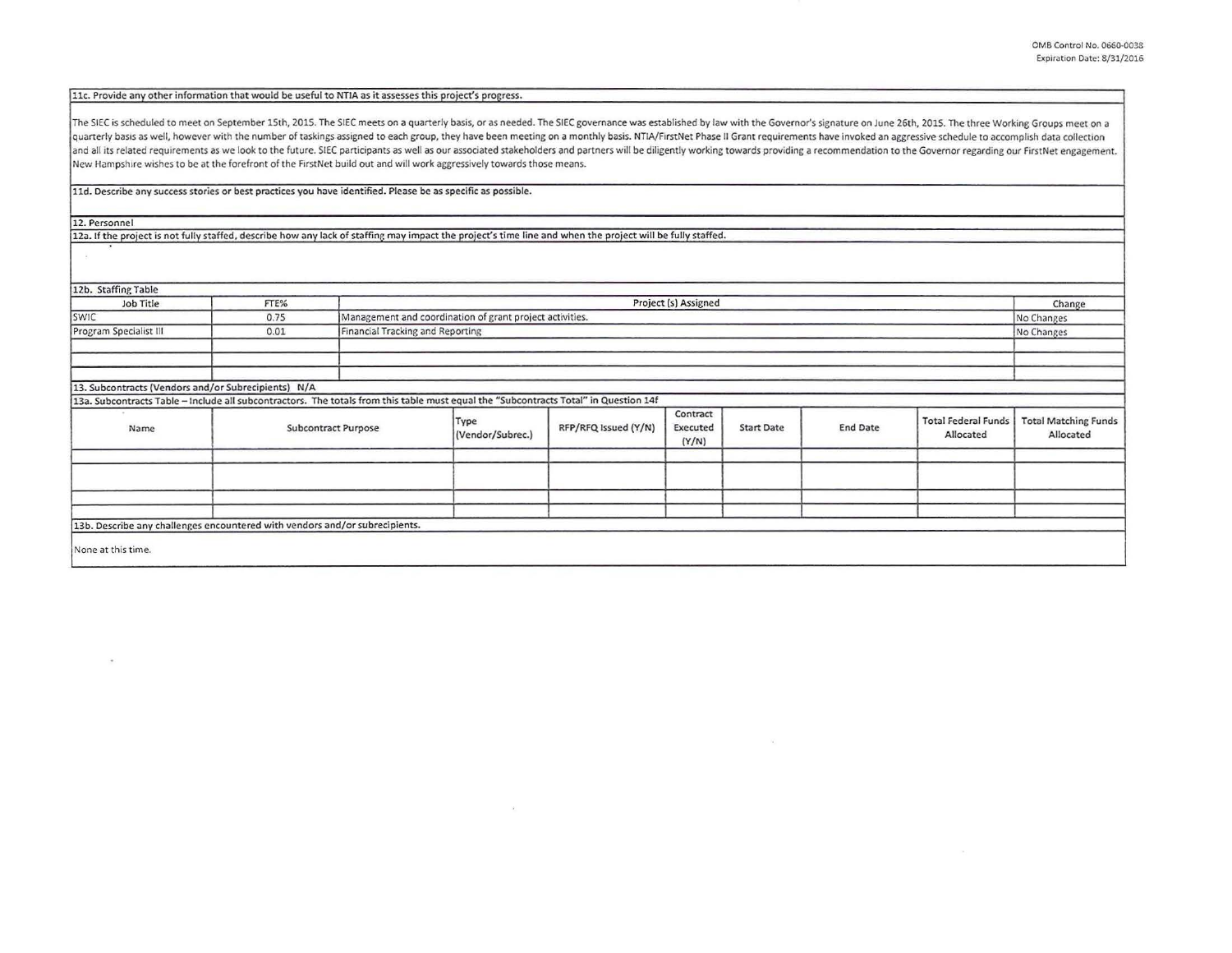llc. Provide any other information that would be useful to NTIA as it assesses this project's progress.

The SIEC is scheduled to meet on September 15th, 2015. The SIEC meets on a quarterly basis, or as needed. The SIEC governance was established by law with the Governor's signature on June 26th, 2015. The three Working Group quarterly basis as well, however with the number of taskings assigned to each group, they have been meeting on a monthly basis. NTIA/FirstNet Phase II Grant requirements have invoked an aggressive schedule to accomplish da and all its related requirements as we look to the future. SIEC participants as well as our associated stakeholders and partners will be diligently working towards providing a recommendation to the Governor regarding our F New Hampshire wishes to be at the forefront of the FirstNet build out and will work aggressively towards those means.

lld. Describe any success stories or best practices you have identified. Please be as specific as possible.

12. Personnel

12a. If the project is not fully staffed, describe how any lack of staffing may impact the project's time line and when the project will be fully staffed.

| 12b. Staffing Table                                                                                                                  |      |                     |                                                          |                      |                               |                   |                 |                                         |                                          |
|--------------------------------------------------------------------------------------------------------------------------------------|------|---------------------|----------------------------------------------------------|----------------------|-------------------------------|-------------------|-----------------|-----------------------------------------|------------------------------------------|
| Job Title                                                                                                                            | FTE% |                     | Project (s) Assigned                                     |                      |                               |                   |                 |                                         | Change                                   |
| SWIC                                                                                                                                 | 0.75 |                     | Management and coordination of grant project activities. |                      |                               |                   |                 |                                         | No Changes                               |
| Program Specialist III                                                                                                               | 0.01 |                     | Financial Tracking and Reporting<br>No Changes           |                      |                               |                   |                 |                                         |                                          |
|                                                                                                                                      |      |                     |                                                          |                      |                               |                   |                 |                                         |                                          |
| 13. Subcontracts (Vendors and/or Subrecipients) N/A                                                                                  |      |                     |                                                          |                      |                               |                   |                 |                                         |                                          |
| 13a. Subcontracts Table - Include all subcontractors. The totals from this table must equal the "Subcontracts Total" in Question 14f |      |                     |                                                          |                      |                               |                   |                 |                                         |                                          |
| Name                                                                                                                                 |      | Subcontract Purpose | Type<br>(Vendor/Subrec.)                                 | RFP/RFQ Issued (Y/N) | Contract<br>Executed<br>(Y/N) | <b>Start Date</b> | <b>End Date</b> | <b>Total Federal Funds</b><br>Allocated | <b>Total Matching Funds</b><br>Allocated |
|                                                                                                                                      |      |                     |                                                          |                      |                               |                   |                 |                                         |                                          |
| 13b. Describe any challenges encountered with vendors and/or subrecipients.                                                          |      |                     |                                                          |                      |                               |                   |                 |                                         |                                          |
| None at this time.                                                                                                                   |      |                     |                                                          |                      |                               |                   |                 |                                         |                                          |